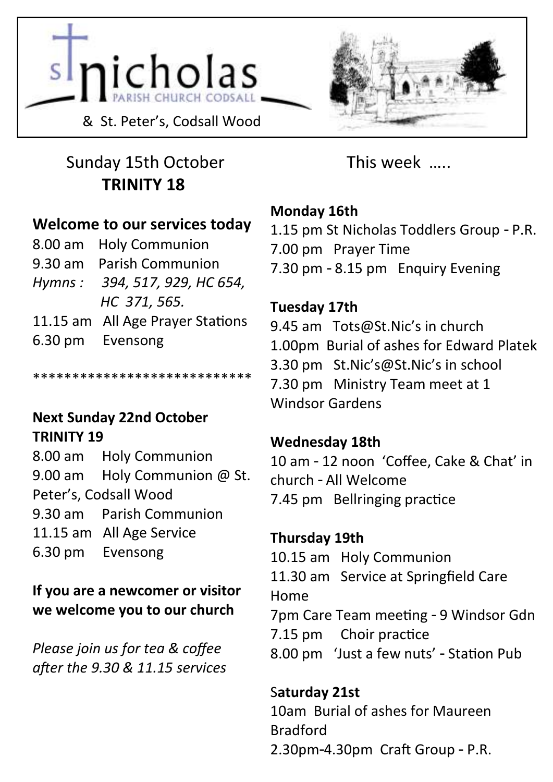



# Sunday 15th October **TRINITY 18**

### **Welcome to our services today**

| 8.00 am Holy Communion           |
|----------------------------------|
| 9.30 am Parish Communion         |
| Hymns: 394, 517, 929, HC 654,    |
| HC 371, 565.                     |
| 11.15 am All Age Prayer Stations |
| 6.30 pm Evensong                 |
|                                  |

\*\*\*\*\*\*\*\*\*\*\*\*\*\*\*\*\*\*\*\*\*\*\*\*\*\*\*\*

#### **Next Sunday 22nd October TRINITY 19**

8.00 am Holy Communion 9.00 am Holy Communion @ St. Peter's, Codsall Wood 9.30 am Parish Communion 11.15 am All Age Service 6.30 pm Evensong

**If you are a newcomer or visitor we welcome you to our church**

*Please join us for tea & coffee after the 9.30 & 11.15 services* This week …..

#### **Monday 16th**

- 1.15 pm St Nicholas Toddlers Group P.R.
- 7.00 pm Prayer Time
- 7.30 pm 8.15 pm Enquiry Evening

### **Tuesday 17th**

9.45 am Tots@St.Nic's in church 1.00pm Burial of ashes for Edward Platek 3.30 pm St.Nic's@St.Nic's in school 7.30 pm Ministry Team meet at 1 Windsor Gardens

### **Wednesday 18th**

10 am - 12 noon 'Coffee, Cake & Chat' in church - All Welcome 7.45 pm Bellringing practice

### **Thursday 19th**

10.15 am Holy Communion 11.30 am Service at Springfield Care Home 7pm Care Team meeting - 9 Windsor Gdn 7.15 pm Choir practice 8.00 pm 'Just a few nuts' - Station Pub

### S**aturday 21st**

10am Burial of ashes for Maureen Bradford 2.30pm-4.30pm Craft Group - P.R.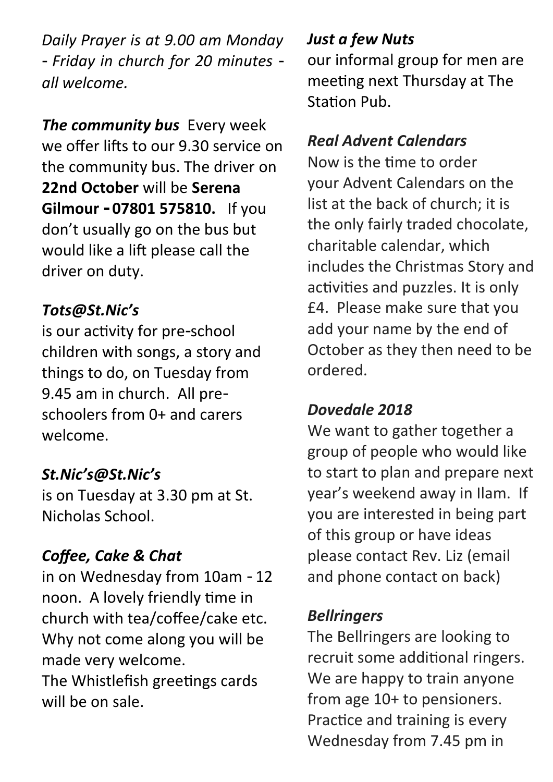*Daily Prayer is at 9.00 am Monday - Friday in church for 20 minutes all welcome.*

*The community bus* Every week we offer lifts to our 9.30 service on the community bus. The driver on **22nd October** will be **Serena Gilmour - 07801 575810.** If you don't usually go on the bus but would like a lift please call the driver on duty.

### *Tots@St.Nic's*

is our activity for pre-school children with songs, a story and things to do, on Tuesday from 9.45 am in church. All preschoolers from 0+ and carers welcome.

### *St.Nic's@St.Nic's*

is on Tuesday at 3.30 pm at St. Nicholas School.

# *Coffee, Cake & Chat*

in on Wednesday from 10am - 12 noon. A lovely friendly time in church with tea/coffee/cake etc. Why not come along you will be made very welcome.

The Whistlefish greetings cards will be on sale.

### *Just a few Nuts*

our informal group for men are meeting next Thursday at The Station Pub.

# *Real Advent Calendars*

Now is the time to order your Advent Calendars on the list at the back of church; it is the only fairly traded chocolate, charitable calendar, which includes the Christmas Story and activities and puzzles. It is only £4. Please make sure that you add your name by the end of October as they then need to be ordered.

# *Dovedale 2018*

We want to gather together a group of people who would like to start to plan and prepare next year's weekend away in Ilam. If you are interested in being part of this group or have ideas please contact Rev. Liz (email and phone contact on back)

### *Bellringers*

The Bellringers are looking to recruit some additional ringers. We are happy to train anyone from age 10+ to pensioners. Practice and training is every Wednesday from 7.45 pm in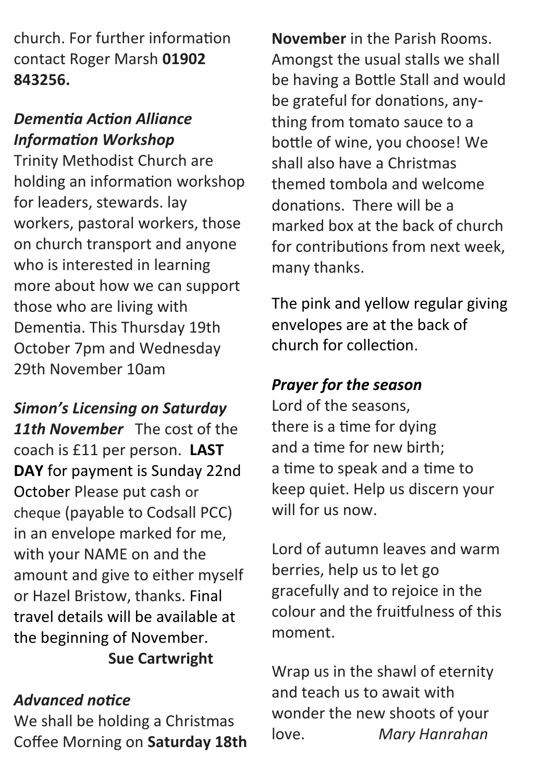church. For further information contact Roger Marsh **01902 843256.**

### *Dementia Action Alliance Information Workshop*

Trinity Methodist Church are holding an information workshop for leaders, stewards. lay workers, pastoral workers, those on church transport and anyone who is interested in learning more about how we can support those who are living with Dementia. This Thursday 19th October 7pm and Wednesday 29th November 10am

*Simon's Licensing on Saturday*  11th November The cost of the coach is £11 per person. **LAST DAY** for payment is Sunday 22nd October Please put cash or cheque (payable to Codsall PCC) in an envelope marked for me, with your NAME on and the amount and give to either myself or Hazel Bristow, thanks. Final travel details will be available at the beginning of November. **Sue Cartwright**

### *Advanced notice*

We shall be holding a Christmas Coffee Morning on **Saturday 18th** 

**November** in the Parish Rooms. Amongst the usual stalls we shall be having a Bottle Stall and would be grateful for donations, anything from tomato sauce to a bottle of wine, you choose! We shall also have a Christmas themed tombola and welcome donations. There will be a marked box at the back of church for contributions from next week, many thanks.

The pink and yellow regular giving envelopes are at the back of church for collection.

### *Prayer for the season*

Lord of the seasons, there is a time for dying and a time for new birth; a time to speak and a time to keep quiet. Help us discern your will for us now.

Lord of autumn leaves and warm berries, help us to let go gracefully and to rejoice in the colour and the fruitfulness of this moment.

Wrap us in the shawl of eternity and teach us to await with wonder the new shoots of your love. *Mary Hanrahan*